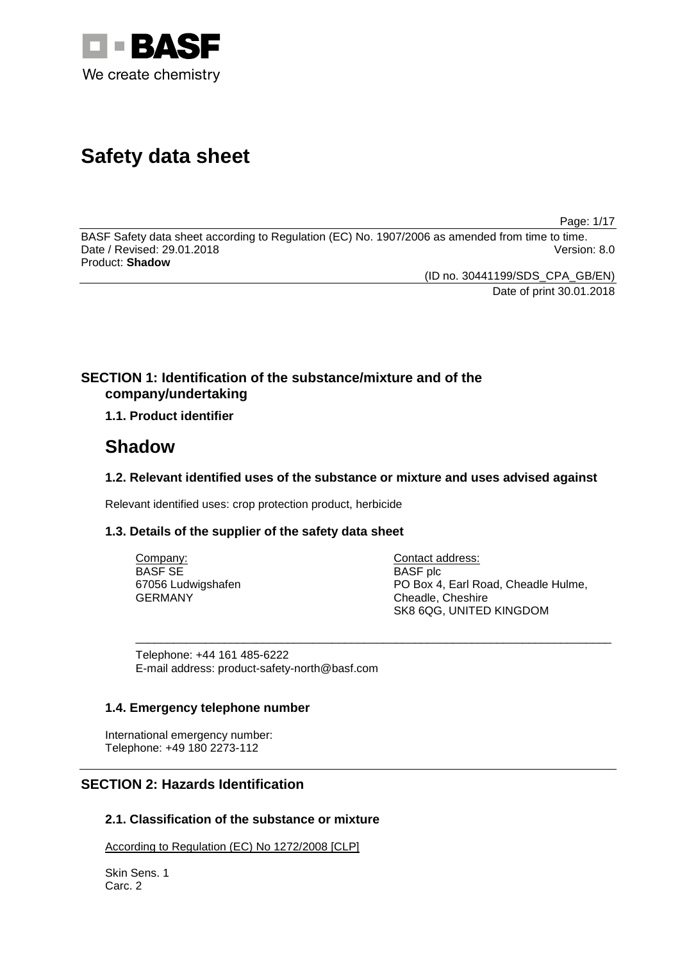

# **Safety data sheet**

Page: 1/17

BASF Safety data sheet according to Regulation (EC) No. 1907/2006 as amended from time to time. Date / Revised: 29.01.2018 Version: 8.0 Product: **Shadow**

(ID no. 30441199/SDS\_CPA\_GB/EN)

Date of print 30.01.2018

# **SECTION 1: Identification of the substance/mixture and of the company/undertaking**

**1.1. Product identifier**

# **Shadow**

### **1.2. Relevant identified uses of the substance or mixture and uses advised against**

Relevant identified uses: crop protection product, herbicide

### **1.3. Details of the supplier of the safety data sheet**

| Company:           | Contact address:                    |
|--------------------|-------------------------------------|
| BASF SE            | <b>BASF</b> plc                     |
| 67056 Ludwigshafen | PO Box 4, Earl Road, Cheadle Hulme, |
| GERMANY            | Cheadle, Cheshire                   |
|                    | SK8 6QG, UNITED KINGDOM             |

\_\_\_\_\_\_\_\_\_\_\_\_\_\_\_\_\_\_\_\_\_\_\_\_\_\_\_\_\_\_\_\_\_\_\_\_\_\_\_\_\_\_\_\_\_\_\_\_\_\_\_\_\_\_\_\_\_\_\_\_\_\_\_\_\_\_\_\_\_\_\_\_\_\_\_

Telephone: +44 161 485-6222 E-mail address: product-safety-north@basf.com

### **1.4. Emergency telephone number**

International emergency number: Telephone: +49 180 2273-112

# **SECTION 2: Hazards Identification**

### **2.1. Classification of the substance or mixture**

According to Regulation (EC) No 1272/2008 [CLP]

Skin Sens. 1 Carc. 2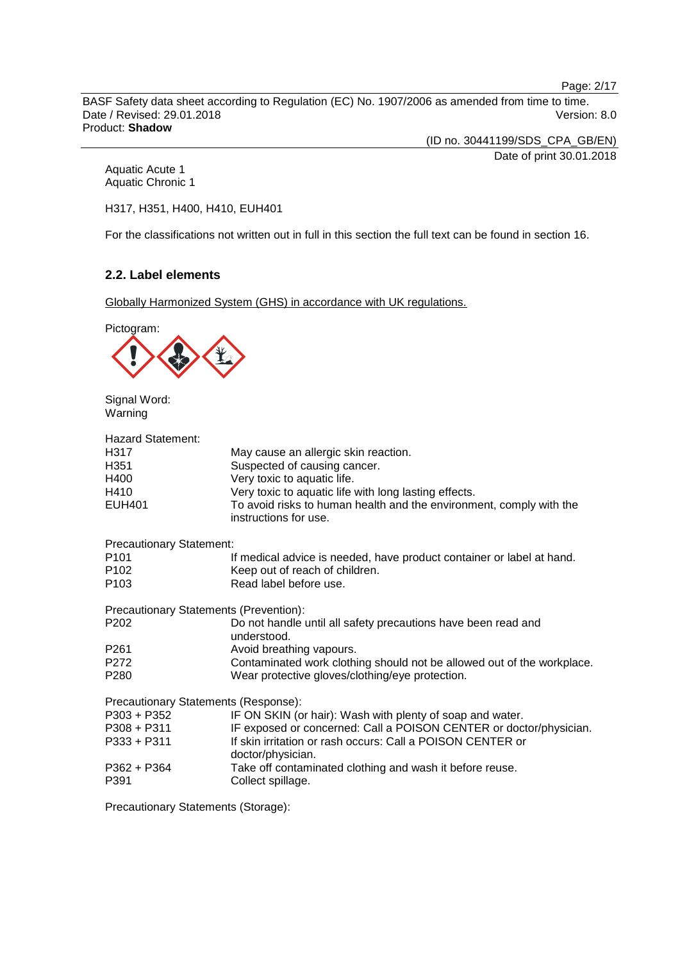Page: 2/17

BASF Safety data sheet according to Regulation (EC) No. 1907/2006 as amended from time to time. Date / Revised: 29.01.2018 Version: 8.0 Product: **Shadow**

(ID no. 30441199/SDS\_CPA\_GB/EN)

Date of print 30.01.2018

Aquatic Acute 1 Aquatic Chronic 1

H317, H351, H400, H410, EUH401

For the classifications not written out in full in this section the full text can be found in section 16.

### **2.2. Label elements**

Globally Harmonized System (GHS) in accordance with UK regulations.



Signal Word: Warning

| <b>Hazard Statement:</b>                      |                                                                                              |
|-----------------------------------------------|----------------------------------------------------------------------------------------------|
| H317                                          | May cause an allergic skin reaction.                                                         |
| H351                                          | Suspected of causing cancer.                                                                 |
| H400                                          | Very toxic to aquatic life.                                                                  |
| H410                                          | Very toxic to aquatic life with long lasting effects.                                        |
| EUH401                                        | To avoid risks to human health and the environment, comply with the<br>instructions for use. |
| <b>Precautionary Statement:</b>               |                                                                                              |
| P101                                          | If medical advice is needed, have product container or label at hand.                        |
| P102                                          | Keep out of reach of children.                                                               |
| P103                                          | Read label before use.                                                                       |
| <b>Precautionary Statements (Prevention):</b> |                                                                                              |
| P202                                          | Do not handle until all safety precautions have been read and<br>understood.                 |
| P261                                          | Avoid breathing vapours.                                                                     |
| P272                                          | Contaminated work clothing should not be allowed out of the workplace.                       |
| P280                                          | Wear protective gloves/clothing/eye protection.                                              |
| Precautionary Statements (Response):          |                                                                                              |
| P303 + P352                                   | IF ON SKIN (or hair): Wash with plenty of soap and water.                                    |
| P308 + P311                                   | IF exposed or concerned: Call a POISON CENTER or doctor/physician.                           |
| P333 + P311                                   | If skin irritation or rash occurs: Call a POISON CENTER or<br>doctor/physician.              |
| P362 + P364                                   | Take off contaminated clothing and wash it before reuse.                                     |
| P391                                          | Collect spillage.                                                                            |

Precautionary Statements (Storage):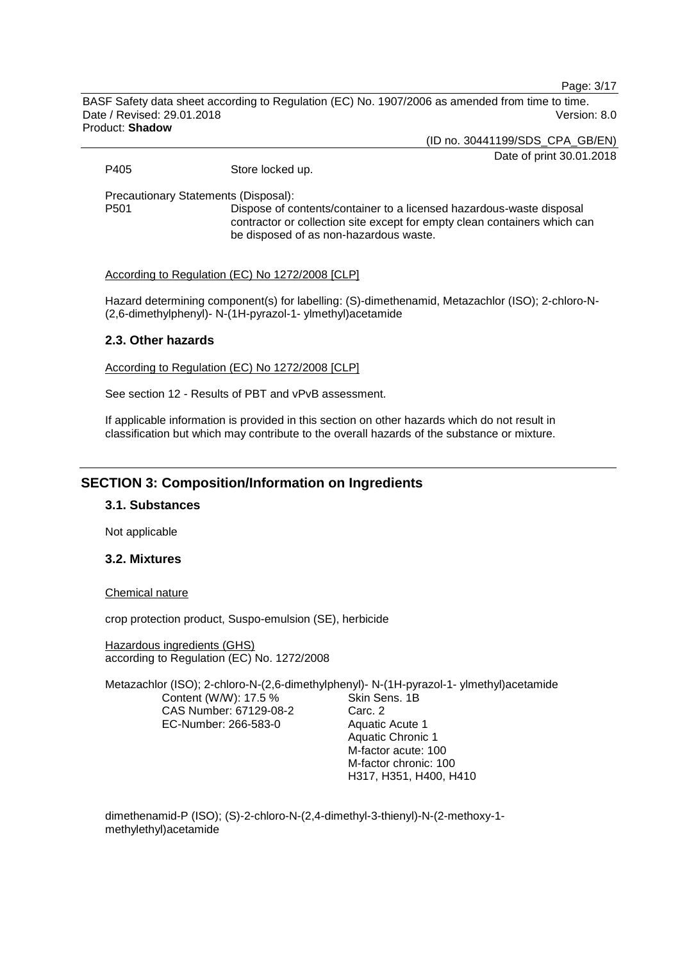Page: 3/17

BASF Safety data sheet according to Regulation (EC) No. 1907/2006 as amended from time to time. Date / Revised: 29.01.2018 Version: 8.0 Product: **Shadow**

(ID no. 30441199/SDS\_CPA\_GB/EN)

Date of print 30.01.2018

P405 Store locked up.

Precautionary Statements (Disposal):

Dispose of contents/container to a licensed hazardous-waste disposal contractor or collection site except for empty clean containers which can be disposed of as non-hazardous waste.

According to Regulation (EC) No 1272/2008 [CLP]

Hazard determining component(s) for labelling: (S)-dimethenamid, Metazachlor (ISO); 2-chloro-N- (2,6-dimethylphenyl)- N-(1H-pyrazol-1- ylmethyl)acetamide

### **2.3. Other hazards**

According to Regulation (EC) No 1272/2008 [CLP]

See section 12 - Results of PBT and vPvB assessment.

If applicable information is provided in this section on other hazards which do not result in classification but which may contribute to the overall hazards of the substance or mixture.

### **SECTION 3: Composition/Information on Ingredients**

#### **3.1. Substances**

Not applicable

### **3.2. Mixtures**

#### Chemical nature

crop protection product, Suspo-emulsion (SE), herbicide

Hazardous ingredients (GHS) according to Regulation (EC) No. 1272/2008

Metazachlor (ISO); 2-chloro-N-(2,6-dimethylphenyl)- N-(1H-pyrazol-1- ylmethyl)acetamide Content (W/W): 17.5 % CAS Number: 67129-08-2 EC-Number: 266-583-0 Skin Sens. 1B Carc. 2 Aquatic Acute 1 Aquatic Chronic 1

M-factor acute: 100 M-factor chronic: 100 H317, H351, H400, H410

dimethenamid-P (ISO); (S)-2-chloro-N-(2,4-dimethyl-3-thienyl)-N-(2-methoxy-1 methylethyl)acetamide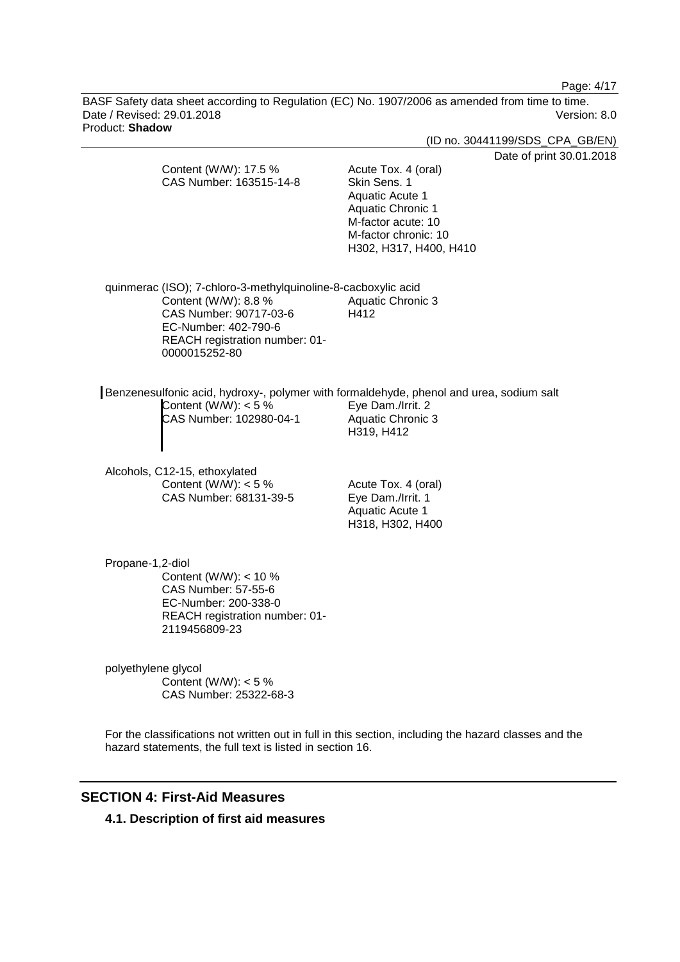Page: 4/17

BASF Safety data sheet according to Regulation (EC) No. 1907/2006 as amended from time to time. Date / Revised: 29.01.2018 **Version: 8.0** Product: **Shadow**

|                                   |                                                                                                                                                                           |                                                                                                                                                            | (ID no. 30441199/SDS_CPA_GB/EN) |
|-----------------------------------|---------------------------------------------------------------------------------------------------------------------------------------------------------------------------|------------------------------------------------------------------------------------------------------------------------------------------------------------|---------------------------------|
|                                   | Content (W/W): 17.5 %<br>CAS Number: 163515-14-8                                                                                                                          | Acute Tox. 4 (oral)<br>Skin Sens. 1<br>Aquatic Acute 1<br><b>Aquatic Chronic 1</b><br>M-factor acute: 10<br>M-factor chronic: 10<br>H302, H317, H400, H410 | Date of print 30.01.2018        |
| 0000015252-80                     | quinmerac (ISO); 7-chloro-3-methylquinoline-8-cacboxylic acid<br>Content (W/W): 8.8 %<br>CAS Number: 90717-03-6<br>EC-Number: 402-790-6<br>REACH registration number: 01- | <b>Aquatic Chronic 3</b><br>H412                                                                                                                           |                                 |
|                                   | Benzenesulfonic acid, hydroxy-, polymer with formaldehyde, phenol and urea, sodium salt<br>Content (W/W): $<$ 5 %<br>CAS Number: 102980-04-1                              | Eye Dam./Irrit. 2<br><b>Aquatic Chronic 3</b><br>H319, H412                                                                                                |                                 |
| Alcohols, C12-15, ethoxylated     | Content (W/W): $<$ 5 %<br>CAS Number: 68131-39-5                                                                                                                          | Acute Tox. 4 (oral)<br>Eye Dam./Irrit. 1<br>Aquatic Acute 1<br>H318, H302, H400                                                                            |                                 |
| Propane-1,2-diol<br>2119456809-23 | Content (W/W): $<$ 10 %<br>CAS Number: 57-55-6<br>EC-Number: 200-338-0<br>REACH registration number: 01-                                                                  |                                                                                                                                                            |                                 |
| polyethylene glycol               | Content (W/W): $<$ 5 %<br>CAS Number: 25322-68-3                                                                                                                          |                                                                                                                                                            |                                 |

For the classifications not written out in full in this section, including the hazard classes and the hazard statements, the full text is listed in section 16.

# **SECTION 4: First-Aid Measures**

**4.1. Description of first aid measures**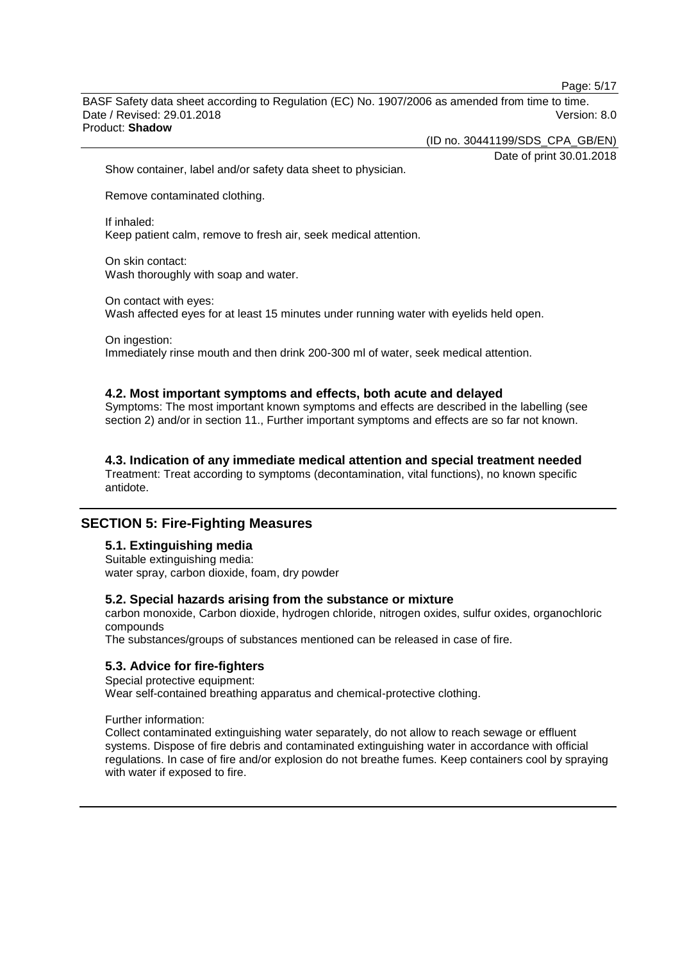Page: 5/17

BASF Safety data sheet according to Regulation (EC) No. 1907/2006 as amended from time to time. Date / Revised: 29.01.2018 Version: 8.0 Product: **Shadow**

(ID no. 30441199/SDS\_CPA\_GB/EN)

Date of print 30.01.2018

Show container, label and/or safety data sheet to physician.

Remove contaminated clothing.

If inhaled: Keep patient calm, remove to fresh air, seek medical attention.

On skin contact: Wash thoroughly with soap and water.

On contact with eyes: Wash affected eyes for at least 15 minutes under running water with eyelids held open.

On ingestion: Immediately rinse mouth and then drink 200-300 ml of water, seek medical attention.

#### **4.2. Most important symptoms and effects, both acute and delayed**

Symptoms: The most important known symptoms and effects are described in the labelling (see section 2) and/or in section 11., Further important symptoms and effects are so far not known.

#### **4.3. Indication of any immediate medical attention and special treatment needed**

Treatment: Treat according to symptoms (decontamination, vital functions), no known specific antidote.

### **SECTION 5: Fire-Fighting Measures**

### **5.1. Extinguishing media**

Suitable extinguishing media: water spray, carbon dioxide, foam, dry powder

#### **5.2. Special hazards arising from the substance or mixture**

carbon monoxide, Carbon dioxide, hydrogen chloride, nitrogen oxides, sulfur oxides, organochloric compounds

The substances/groups of substances mentioned can be released in case of fire.

### **5.3. Advice for fire-fighters**

Special protective equipment: Wear self-contained breathing apparatus and chemical-protective clothing.

Further information:

Collect contaminated extinguishing water separately, do not allow to reach sewage or effluent systems. Dispose of fire debris and contaminated extinguishing water in accordance with official regulations. In case of fire and/or explosion do not breathe fumes. Keep containers cool by spraying with water if exposed to fire.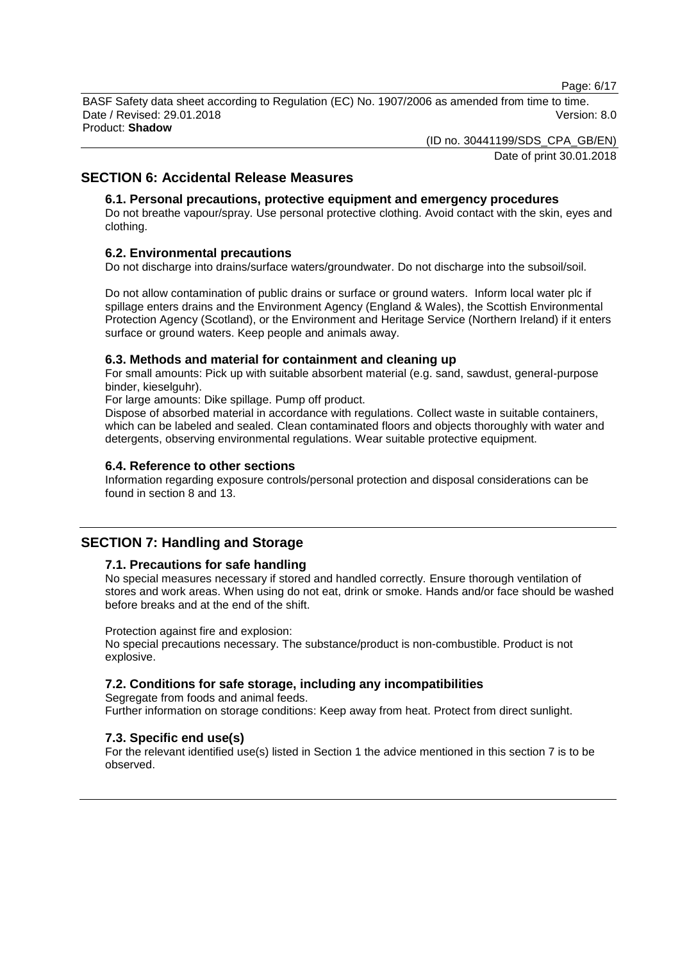Page: 6/17

BASF Safety data sheet according to Regulation (EC) No. 1907/2006 as amended from time to time. Date / Revised: 29.01.2018 Version: 8.0 Product: **Shadow**

(ID no. 30441199/SDS\_CPA\_GB/EN)

Date of print 30.01.2018

### **SECTION 6: Accidental Release Measures**

### **6.1. Personal precautions, protective equipment and emergency procedures**

Do not breathe vapour/spray. Use personal protective clothing. Avoid contact with the skin, eyes and clothing.

### **6.2. Environmental precautions**

Do not discharge into drains/surface waters/groundwater. Do not discharge into the subsoil/soil.

Do not allow contamination of public drains or surface or ground waters. Inform local water plc if spillage enters drains and the Environment Agency (England & Wales), the Scottish Environmental Protection Agency (Scotland), or the Environment and Heritage Service (Northern Ireland) if it enters surface or ground waters. Keep people and animals away.

### **6.3. Methods and material for containment and cleaning up**

For small amounts: Pick up with suitable absorbent material (e.g. sand, sawdust, general-purpose binder, kieselguhr).

For large amounts: Dike spillage. Pump off product.

Dispose of absorbed material in accordance with regulations. Collect waste in suitable containers, which can be labeled and sealed. Clean contaminated floors and objects thoroughly with water and detergents, observing environmental regulations. Wear suitable protective equipment.

### **6.4. Reference to other sections**

Information regarding exposure controls/personal protection and disposal considerations can be found in section 8 and 13.

### **SECTION 7: Handling and Storage**

### **7.1. Precautions for safe handling**

No special measures necessary if stored and handled correctly. Ensure thorough ventilation of stores and work areas. When using do not eat, drink or smoke. Hands and/or face should be washed before breaks and at the end of the shift.

Protection against fire and explosion:

No special precautions necessary. The substance/product is non-combustible. Product is not explosive.

### **7.2. Conditions for safe storage, including any incompatibilities**

Segregate from foods and animal feeds. Further information on storage conditions: Keep away from heat. Protect from direct sunlight.

### **7.3. Specific end use(s)**

For the relevant identified use(s) listed in Section 1 the advice mentioned in this section 7 is to be observed.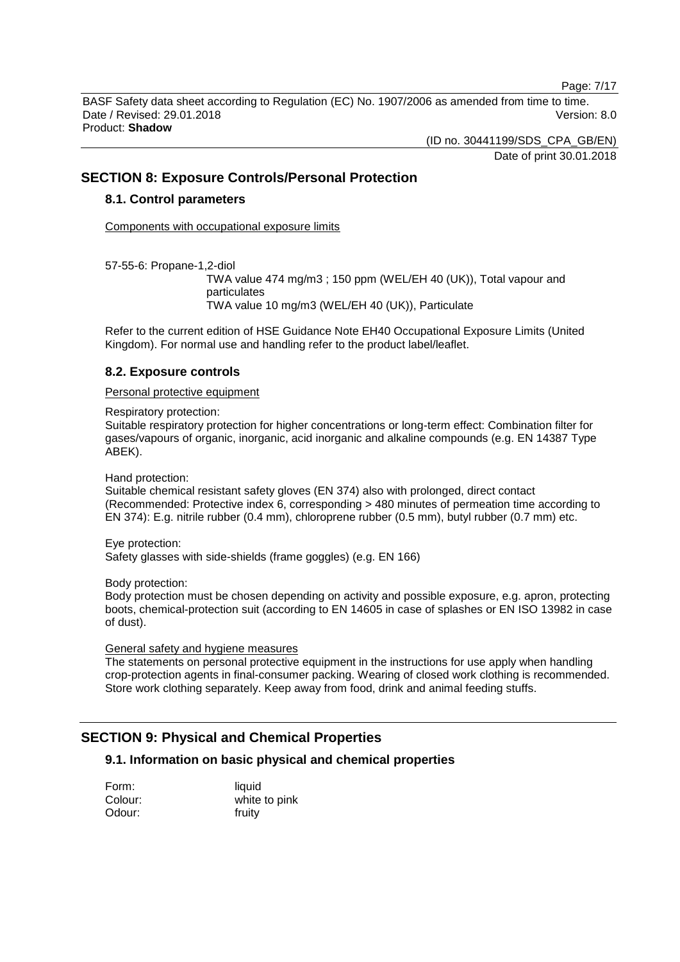Page: 7/17

BASF Safety data sheet according to Regulation (EC) No. 1907/2006 as amended from time to time. Date / Revised: 29.01.2018 Version: 8.0 Product: **Shadow**

(ID no. 30441199/SDS\_CPA\_GB/EN)

Date of print 30.01.2018

### **SECTION 8: Exposure Controls/Personal Protection**

### **8.1. Control parameters**

Components with occupational exposure limits

57-55-6: Propane-1,2-diol

TWA value 474 mg/m3 ; 150 ppm (WEL/EH 40 (UK)), Total vapour and particulates TWA value 10 mg/m3 (WEL/EH 40 (UK)), Particulate

Refer to the current edition of HSE Guidance Note EH40 Occupational Exposure Limits (United Kingdom). For normal use and handling refer to the product label/leaflet.

### **8.2. Exposure controls**

### Personal protective equipment

Respiratory protection:

Suitable respiratory protection for higher concentrations or long-term effect: Combination filter for gases/vapours of organic, inorganic, acid inorganic and alkaline compounds (e.g. EN 14387 Type ABEK).

Hand protection:

Suitable chemical resistant safety gloves (EN 374) also with prolonged, direct contact (Recommended: Protective index 6, corresponding > 480 minutes of permeation time according to EN 374): E.g. nitrile rubber (0.4 mm), chloroprene rubber (0.5 mm), butyl rubber (0.7 mm) etc.

Eye protection:

Safety glasses with side-shields (frame goggles) (e.g. EN 166)

Body protection:

Body protection must be chosen depending on activity and possible exposure, e.g. apron, protecting boots, chemical-protection suit (according to EN 14605 in case of splashes or EN ISO 13982 in case of dust).

General safety and hygiene measures

The statements on personal protective equipment in the instructions for use apply when handling crop-protection agents in final-consumer packing. Wearing of closed work clothing is recommended. Store work clothing separately. Keep away from food, drink and animal feeding stuffs.

# **SECTION 9: Physical and Chemical Properties**

### **9.1. Information on basic physical and chemical properties**

| Form:   | liquid        |
|---------|---------------|
| Colour: | white to pink |
| Odour:  | fruity        |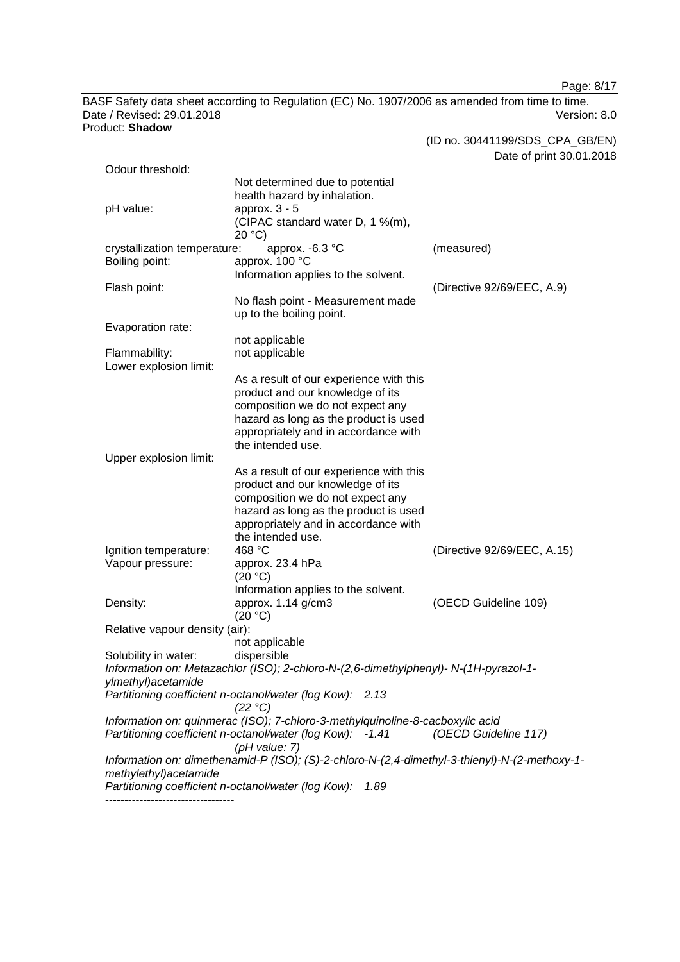Page: 8/17

BASF Safety data sheet according to Regulation (EC) No. 1907/2006 as amended from time to time. Date / Revised: 29.01.2018 Version: 8.0 Product: **Shadow**

(ID no. 30441199/SDS\_CPA\_GB/EN) Date of print 30.01.2018

| Odour threshold:               |                                                                                               |                             |
|--------------------------------|-----------------------------------------------------------------------------------------------|-----------------------------|
|                                | Not determined due to potential                                                               |                             |
|                                | health hazard by inhalation.                                                                  |                             |
| pH value:                      | approx. $3 - 5$                                                                               |                             |
|                                | (CIPAC standard water D, 1 %(m),                                                              |                             |
|                                | 20 °C)                                                                                        |                             |
| crystallization temperature:   | approx. -6.3 °C                                                                               | (measured)                  |
| Boiling point:                 | approx. 100 °C                                                                                |                             |
|                                | Information applies to the solvent.                                                           |                             |
| Flash point:                   |                                                                                               | (Directive 92/69/EEC, A.9)  |
|                                | No flash point - Measurement made                                                             |                             |
|                                | up to the boiling point.                                                                      |                             |
| Evaporation rate:              |                                                                                               |                             |
|                                | not applicable                                                                                |                             |
| Flammability:                  | not applicable                                                                                |                             |
| Lower explosion limit:         |                                                                                               |                             |
|                                | As a result of our experience with this                                                       |                             |
|                                | product and our knowledge of its                                                              |                             |
|                                | composition we do not expect any                                                              |                             |
|                                | hazard as long as the product is used                                                         |                             |
|                                | appropriately and in accordance with                                                          |                             |
|                                | the intended use.                                                                             |                             |
| Upper explosion limit:         |                                                                                               |                             |
|                                | As a result of our experience with this                                                       |                             |
|                                | product and our knowledge of its                                                              |                             |
|                                | composition we do not expect any                                                              |                             |
|                                | hazard as long as the product is used                                                         |                             |
|                                | appropriately and in accordance with                                                          |                             |
|                                | the intended use.                                                                             |                             |
| Ignition temperature:          | 468 °C                                                                                        | (Directive 92/69/EEC, A.15) |
| Vapour pressure:               | approx. 23.4 hPa                                                                              |                             |
|                                | (20 °C)                                                                                       |                             |
|                                | Information applies to the solvent.                                                           |                             |
| Density:                       | approx. 1.14 g/cm3                                                                            | (OECD Guideline 109)        |
|                                | (20 °C)                                                                                       |                             |
| Relative vapour density (air): |                                                                                               |                             |
|                                | not applicable                                                                                |                             |
| Solubility in water:           | dispersible                                                                                   |                             |
|                                | Information on: Metazachlor (ISO); 2-chloro-N-(2,6-dimethylphenyl)- N-(1H-pyrazol-1-          |                             |
| ylmethyl) acetamide            |                                                                                               |                             |
|                                | Partitioning coefficient n-octanol/water (log Kow): 2.13                                      |                             |
|                                | (22 °C)                                                                                       |                             |
|                                | Information on: quinmerac (ISO); 7-chloro-3-methylquinoline-8-cacboxylic acid                 |                             |
|                                | Partitioning coefficient n-octanol/water (log Kow): -1.41                                     | (OECD Guideline 117)        |
|                                | (pH value: 7)                                                                                 |                             |
|                                | Information on: dimethenamid-P (ISO); (S)-2-chloro-N-(2,4-dimethyl-3-thienyl)-N-(2-methoxy-1- |                             |
| methylethyl)acetamide          |                                                                                               |                             |
|                                | Partitioning coefficient n-octanol/water (log Kow):<br>1.89                                   |                             |
|                                |                                                                                               |                             |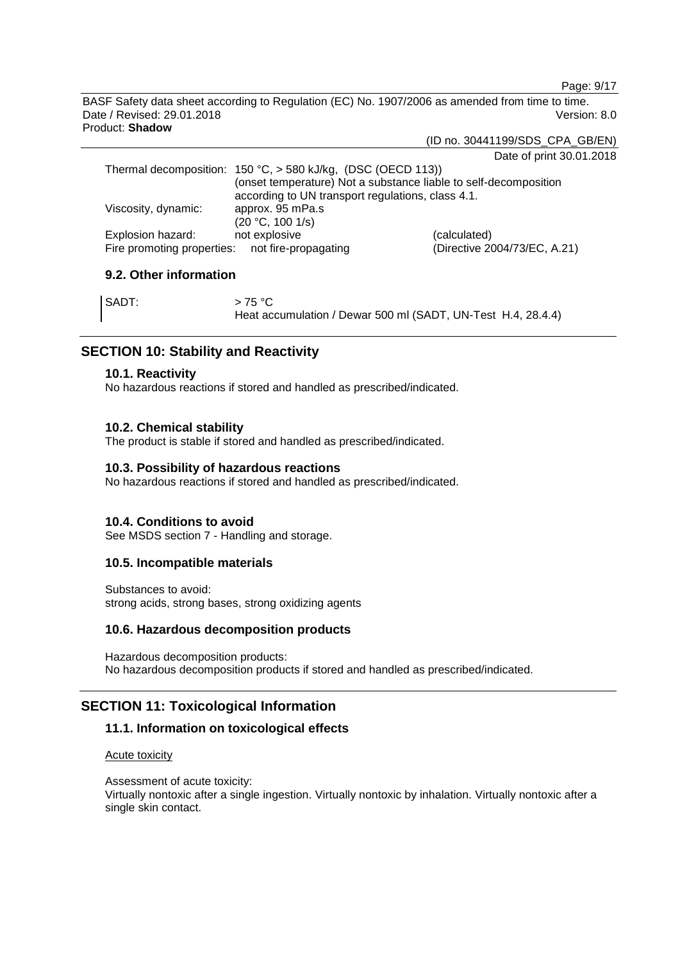Page: 9/17

BASF Safety data sheet according to Regulation (EC) No. 1907/2006 as amended from time to time. Date / Revised: 29.01.2018 Version: 8.0 Product: **Shadow**

(ID no. 30441199/SDS\_CPA\_GB/EN)

Date of print 30.01.2018

| Thermal decomposition: $150 °C$ , $> 580$ kJ/kg, (DSC (OECD 113)) |                              |
|-------------------------------------------------------------------|------------------------------|
| (onset temperature) Not a substance liable to self-decomposition  |                              |
| according to UN transport regulations, class 4.1.                 |                              |
| approx. 95 mPa.s                                                  |                              |
| (20 °C, 100 1/s)                                                  |                              |
| not explosive                                                     | (calculated)                 |
| Fire promoting properties: not fire-propagating                   | (Directive 2004/73/EC, A.21) |
|                                                                   |                              |

### **9.2. Other information**

| SADT: | >75 °C                                                       |
|-------|--------------------------------------------------------------|
|       | Heat accumulation / Dewar 500 ml (SADT, UN-Test H.4, 28.4.4) |

### **SECTION 10: Stability and Reactivity**

### **10.1. Reactivity**

No hazardous reactions if stored and handled as prescribed/indicated.

### **10.2. Chemical stability**

The product is stable if stored and handled as prescribed/indicated.

### **10.3. Possibility of hazardous reactions**

No hazardous reactions if stored and handled as prescribed/indicated.

### **10.4. Conditions to avoid**

See MSDS section 7 - Handling and storage.

### **10.5. Incompatible materials**

Substances to avoid: strong acids, strong bases, strong oxidizing agents

#### **10.6. Hazardous decomposition products**

Hazardous decomposition products: No hazardous decomposition products if stored and handled as prescribed/indicated.

### **SECTION 11: Toxicological Information**

### **11.1. Information on toxicological effects**

### Acute toxicity

Assessment of acute toxicity: Virtually nontoxic after a single ingestion. Virtually nontoxic by inhalation. Virtually nontoxic after a single skin contact.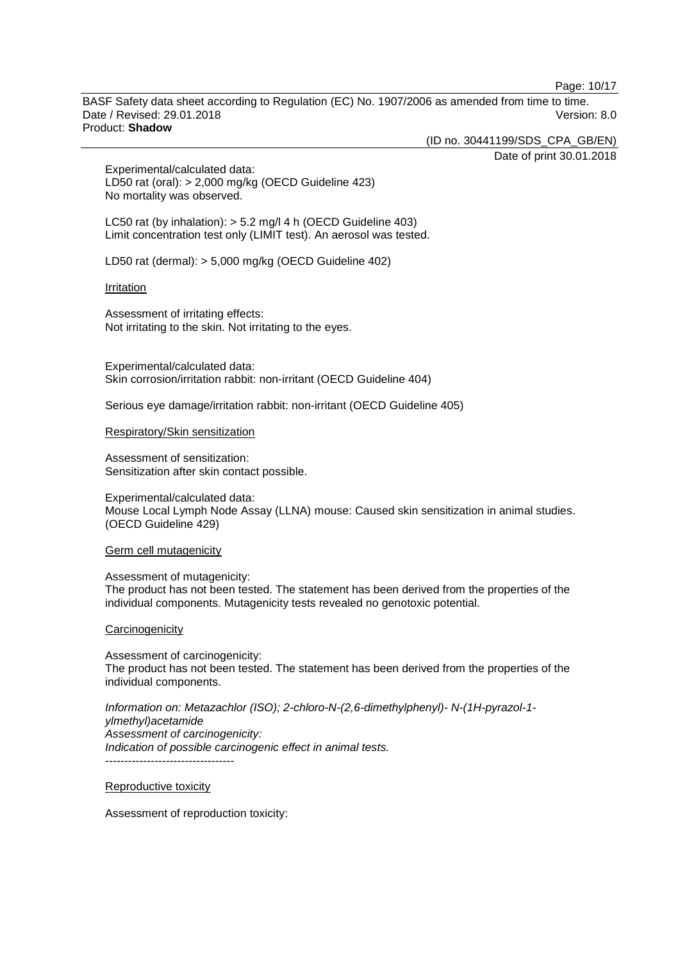Page: 10/17

BASF Safety data sheet according to Regulation (EC) No. 1907/2006 as amended from time to time. Date / Revised: 29.01.2018 Version: 8.0 Product: **Shadow**

(ID no. 30441199/SDS\_CPA\_GB/EN)

Date of print 30.01.2018

Experimental/calculated data: LD50 rat (oral): > 2,000 mg/kg (OECD Guideline 423) No mortality was observed.

LC50 rat (by inhalation): > 5.2 mg/l 4 h (OECD Guideline 403) Limit concentration test only (LIMIT test). An aerosol was tested.

LD50 rat (dermal): > 5,000 mg/kg (OECD Guideline 402)

#### **Irritation**

Assessment of irritating effects: Not irritating to the skin. Not irritating to the eyes.

Experimental/calculated data: Skin corrosion/irritation rabbit: non-irritant (OECD Guideline 404)

Serious eye damage/irritation rabbit: non-irritant (OECD Guideline 405)

#### Respiratory/Skin sensitization

Assessment of sensitization: Sensitization after skin contact possible.

Experimental/calculated data: Mouse Local Lymph Node Assay (LLNA) mouse: Caused skin sensitization in animal studies. (OECD Guideline 429)

#### Germ cell mutagenicity

Assessment of mutagenicity: The product has not been tested. The statement has been derived from the properties of the individual components. Mutagenicity tests revealed no genotoxic potential.

#### **Carcinogenicity**

Assessment of carcinogenicity: The product has not been tested. The statement has been derived from the properties of the individual components.

*Information on: Metazachlor (ISO); 2-chloro-N-(2,6-dimethylphenyl)- N-(1H-pyrazol-1 ylmethyl)acetamide Assessment of carcinogenicity: Indication of possible carcinogenic effect in animal tests.* ----------------------------------

Reproductive toxicity

Assessment of reproduction toxicity: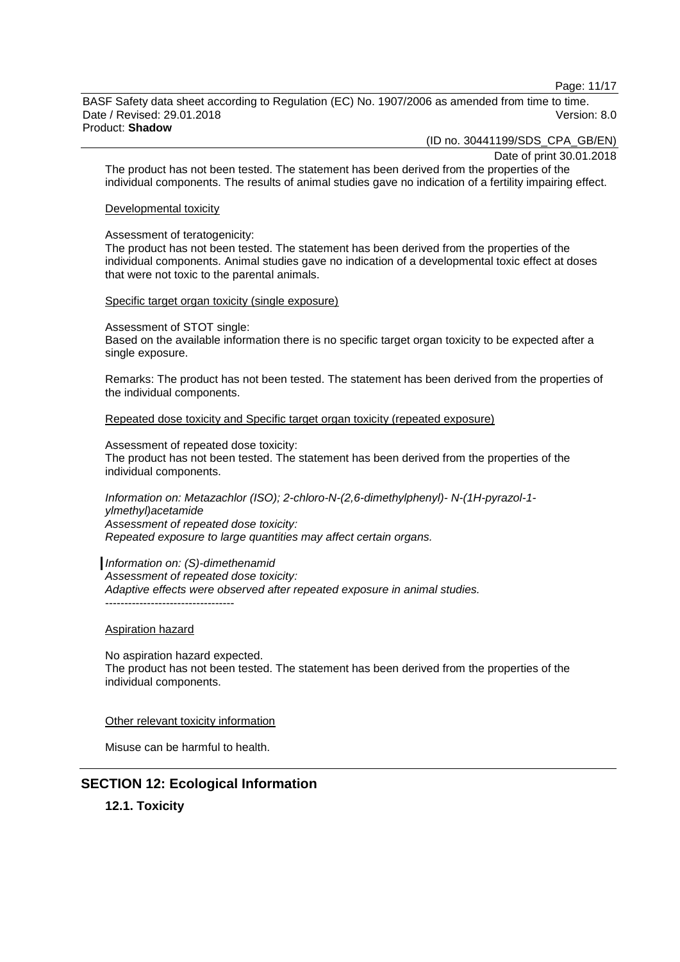Page: 11/17

BASF Safety data sheet according to Regulation (EC) No. 1907/2006 as amended from time to time. Date / Revised: 29.01.2018 Version: 8.0 Product: **Shadow**

(ID no. 30441199/SDS\_CPA\_GB/EN)

Date of print 30.01.2018

The product has not been tested. The statement has been derived from the properties of the individual components. The results of animal studies gave no indication of a fertility impairing effect.

#### Developmental toxicity

#### Assessment of teratogenicity:

The product has not been tested. The statement has been derived from the properties of the individual components. Animal studies gave no indication of a developmental toxic effect at doses that were not toxic to the parental animals.

Specific target organ toxicity (single exposure)

Assessment of STOT single:

Based on the available information there is no specific target organ toxicity to be expected after a single exposure.

Remarks: The product has not been tested. The statement has been derived from the properties of the individual components.

Repeated dose toxicity and Specific target organ toxicity (repeated exposure)

Assessment of repeated dose toxicity: The product has not been tested. The statement has been derived from the properties of the individual components.

*Information on: Metazachlor (ISO); 2-chloro-N-(2,6-dimethylphenyl)- N-(1H-pyrazol-1 ylmethyl)acetamide Assessment of repeated dose toxicity: Repeated exposure to large quantities may affect certain organs.*

*Information on: (S)-dimethenamid Assessment of repeated dose toxicity: Adaptive effects were observed after repeated exposure in animal studies.* ----------------------------------

#### Aspiration hazard

No aspiration hazard expected. The product has not been tested. The statement has been derived from the properties of the individual components.

Other relevant toxicity information

Misuse can be harmful to health.

### **SECTION 12: Ecological Information**

**12.1. Toxicity**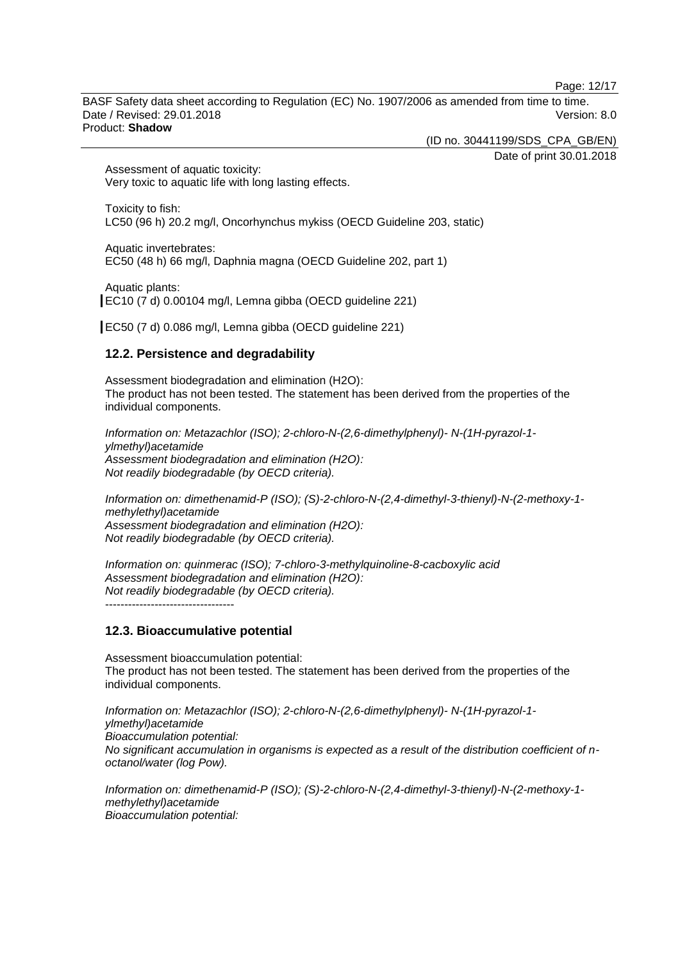Page: 12/17

BASF Safety data sheet according to Regulation (EC) No. 1907/2006 as amended from time to time. Date / Revised: 29.01.2018 Version: 8.0 Product: **Shadow**

(ID no. 30441199/SDS\_CPA\_GB/EN)

Date of print 30.01.2018

Assessment of aquatic toxicity: Very toxic to aquatic life with long lasting effects.

Toxicity to fish: LC50 (96 h) 20.2 mg/l, Oncorhynchus mykiss (OECD Guideline 203, static)

Aquatic invertebrates: EC50 (48 h) 66 mg/l, Daphnia magna (OECD Guideline 202, part 1)

Aquatic plants: EC10 (7 d) 0.00104 mg/l, Lemna gibba (OECD guideline 221)

EC50 (7 d) 0.086 mg/l, Lemna gibba (OECD guideline 221)

### **12.2. Persistence and degradability**

Assessment biodegradation and elimination (H2O): The product has not been tested. The statement has been derived from the properties of the individual components.

*Information on: Metazachlor (ISO); 2-chloro-N-(2,6-dimethylphenyl)- N-(1H-pyrazol-1 ylmethyl)acetamide Assessment biodegradation and elimination (H2O): Not readily biodegradable (by OECD criteria).*

*Information on: dimethenamid-P (ISO); (S)-2-chloro-N-(2,4-dimethyl-3-thienyl)-N-(2-methoxy-1 methylethyl)acetamide Assessment biodegradation and elimination (H2O): Not readily biodegradable (by OECD criteria).*

*Information on: quinmerac (ISO); 7-chloro-3-methylquinoline-8-cacboxylic acid Assessment biodegradation and elimination (H2O): Not readily biodegradable (by OECD criteria).* ----------------------------------

### **12.3. Bioaccumulative potential**

Assessment bioaccumulation potential: The product has not been tested. The statement has been derived from the properties of the individual components.

*Information on: Metazachlor (ISO); 2-chloro-N-(2,6-dimethylphenyl)- N-(1H-pyrazol-1 ylmethyl)acetamide Bioaccumulation potential: No significant accumulation in organisms is expected as a result of the distribution coefficient of noctanol/water (log Pow).*

*Information on: dimethenamid-P (ISO); (S)-2-chloro-N-(2,4-dimethyl-3-thienyl)-N-(2-methoxy-1 methylethyl)acetamide Bioaccumulation potential:*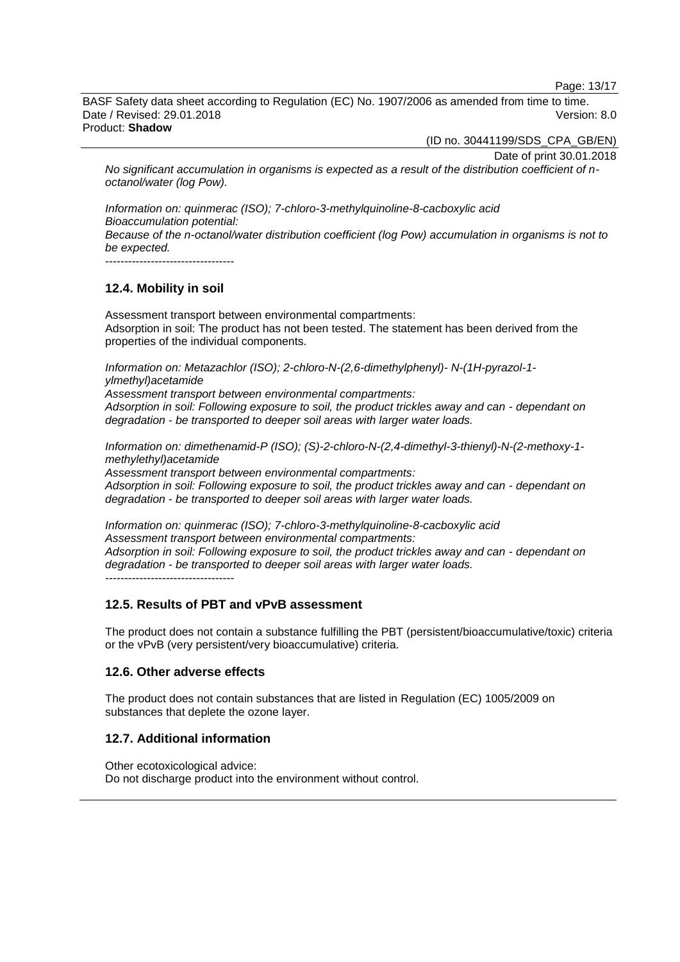Page: 13/17

BASF Safety data sheet according to Regulation (EC) No. 1907/2006 as amended from time to time. Date / Revised: 29.01.2018 Version: 8.0 Product: **Shadow**

(ID no. 30441199/SDS\_CPA\_GB/EN)

Date of print 30.01.2018

*No significant accumulation in organisms is expected as a result of the distribution coefficient of noctanol/water (log Pow).*

*Information on: quinmerac (ISO); 7-chloro-3-methylquinoline-8-cacboxylic acid Bioaccumulation potential: Because of the n-octanol/water distribution coefficient (log Pow) accumulation in organisms is not to be expected.*

----------------------------------

### **12.4. Mobility in soil**

Assessment transport between environmental compartments: Adsorption in soil: The product has not been tested. The statement has been derived from the properties of the individual components.

*Information on: Metazachlor (ISO); 2-chloro-N-(2,6-dimethylphenyl)- N-(1H-pyrazol-1 ylmethyl)acetamide*

*Assessment transport between environmental compartments: Adsorption in soil: Following exposure to soil, the product trickles away and can - dependant on degradation - be transported to deeper soil areas with larger water loads.*

*Information on: dimethenamid-P (ISO); (S)-2-chloro-N-(2,4-dimethyl-3-thienyl)-N-(2-methoxy-1 methylethyl)acetamide*

*Assessment transport between environmental compartments: Adsorption in soil: Following exposure to soil, the product trickles away and can - dependant on degradation - be transported to deeper soil areas with larger water loads.*

*Information on: quinmerac (ISO); 7-chloro-3-methylquinoline-8-cacboxylic acid Assessment transport between environmental compartments: Adsorption in soil: Following exposure to soil, the product trickles away and can - dependant on degradation - be transported to deeper soil areas with larger water loads.* ----------------------------------

### **12.5. Results of PBT and vPvB assessment**

The product does not contain a substance fulfilling the PBT (persistent/bioaccumulative/toxic) criteria or the vPvB (very persistent/very bioaccumulative) criteria.

### **12.6. Other adverse effects**

The product does not contain substances that are listed in Regulation (EC) 1005/2009 on substances that deplete the ozone layer.

### **12.7. Additional information**

Other ecotoxicological advice: Do not discharge product into the environment without control.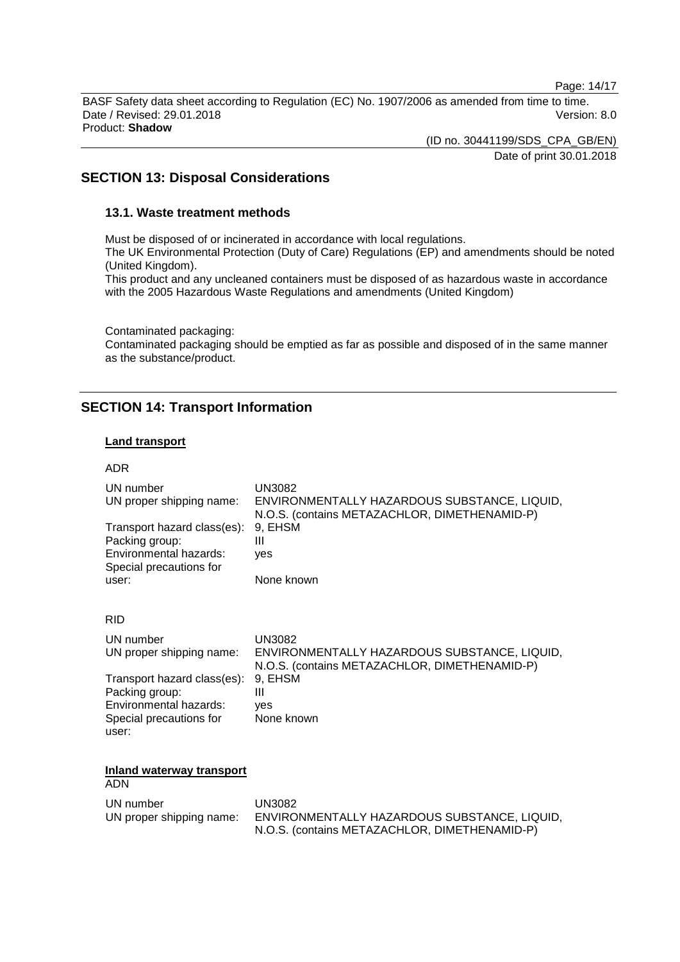Page: 14/17

BASF Safety data sheet according to Regulation (EC) No. 1907/2006 as amended from time to time. Date / Revised: 29.01.2018 Version: 8.0 Product: **Shadow**

(ID no. 30441199/SDS\_CPA\_GB/EN)

Date of print 30.01.2018

### **SECTION 13: Disposal Considerations**

### **13.1. Waste treatment methods**

Must be disposed of or incinerated in accordance with local regulations.

The UK Environmental Protection (Duty of Care) Regulations (EP) and amendments should be noted (United Kingdom).

This product and any uncleaned containers must be disposed of as hazardous waste in accordance with the 2005 Hazardous Waste Regulations and amendments (United Kingdom)

Contaminated packaging:

Contaminated packaging should be emptied as far as possible and disposed of in the same manner as the substance/product.

### **SECTION 14: Transport Information**

#### **Land transport**

| <b>ADR</b>                                                                                                       |                                                                                                                                       |
|------------------------------------------------------------------------------------------------------------------|---------------------------------------------------------------------------------------------------------------------------------------|
| UN number<br>UN proper shipping name:<br>Transport hazard class(es):<br>Packing group:<br>Environmental hazards: | <b>UN3082</b><br>ENVIRONMENTALLY HAZARDOUS SUBSTANCE, LIQUID,<br>N.O.S. (contains METAZACHLOR, DIMETHENAMID-P)<br>9, EHSM<br>Ш<br>ves |
| Special precautions for<br>user:                                                                                 | None known                                                                                                                            |
| <b>RID</b>                                                                                                       |                                                                                                                                       |
| UN number<br>UN proper shipping name:                                                                            | <b>UN3082</b><br>ENVIRONMENTALLY HAZARDOUS SUBSTANCE, LIQUID,<br>N.O.S. (contains METAZACHLOR, DIMETHENAMID-P)                        |
| Transport hazard class(es):<br>Packing group:<br>Environmental hazards:<br>Special precautions for<br>user:      | 9, EHSM<br>Ш<br>ves<br>None known                                                                                                     |
| Inland waterway transport                                                                                        |                                                                                                                                       |
| <b>ADN</b>                                                                                                       |                                                                                                                                       |
| UN number<br>UN proper shipping name:                                                                            | <b>UN3082</b><br>ENVIRONMENTALLY HAZARDOUS SUBSTANCE, LIQUID,<br>N.O.S. (contains METAZACHLOR, DIMETHENAMID-P)                        |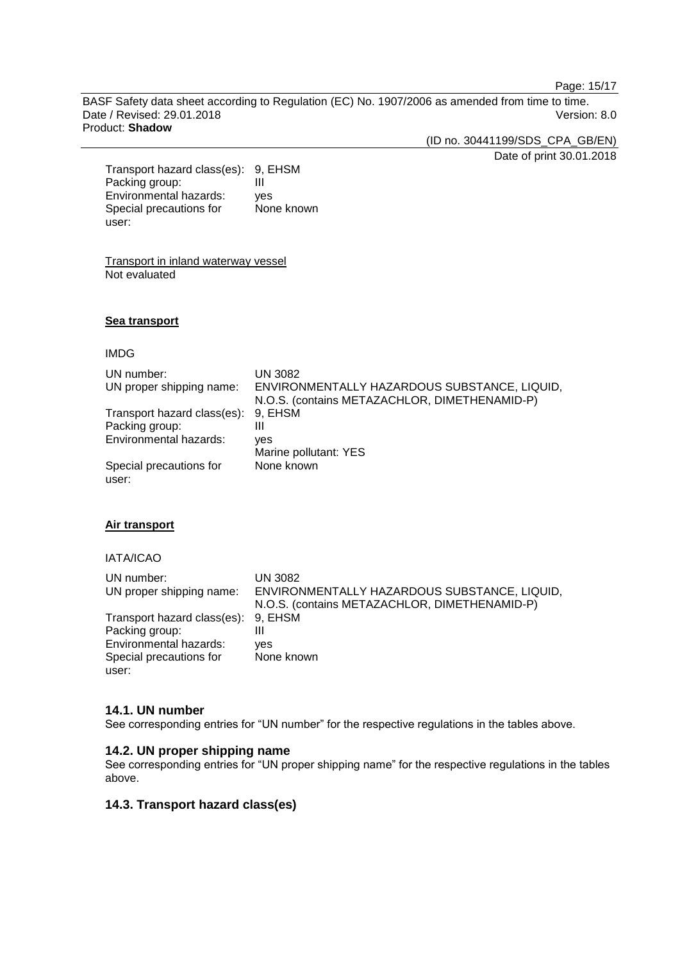Page: 15/17

BASF Safety data sheet according to Regulation (EC) No. 1907/2006 as amended from time to time. Date / Revised: 29.01.2018 Version: 8.0 Product: **Shadow**

(ID no. 30441199/SDS\_CPA\_GB/EN)

Date of print 30.01.2018

Transport hazard class(es): 9, EHSM Packing group: III<br>Environmental hazards: ves Environmental hazards: Special precautions for user: None known

Transport in inland waterway vessel Not evaluated

#### **Sea transport**

#### IMDG

| UN number:<br>UN proper shipping name: | <b>UN 3082</b><br>ENVIRONMENTALLY HAZARDOUS SUBSTANCE, LIQUID,<br>N.O.S. (contains METAZACHLOR, DIMETHENAMID-P) |
|----------------------------------------|-----------------------------------------------------------------------------------------------------------------|
| Transport hazard class(es):            | 9, EHSM                                                                                                         |
| Packing group:                         | Ш                                                                                                               |
| Environmental hazards:                 | ves                                                                                                             |
|                                        | Marine pollutant: YES                                                                                           |
| Special precautions for<br>user:       | None known                                                                                                      |

#### **Air transport**

#### IATA/ICAO

| UN number:                          | UN 3082                                       |
|-------------------------------------|-----------------------------------------------|
| UN proper shipping name:            | ENVIRONMENTALLY HAZARDOUS SUBSTANCE, LIQUID,  |
|                                     | N.O.S. (contains METAZACHLOR, DIMETHENAMID-P) |
| Transport hazard class(es): 9, EHSM |                                               |
| Packing group:                      | Ш                                             |
| Environmental hazards:              | ves                                           |
| Special precautions for             | None known                                    |
| user:                               |                                               |

#### **14.1. UN number**

See corresponding entries for "UN number" for the respective regulations in the tables above.

### **14.2. UN proper shipping name**

See corresponding entries for "UN proper shipping name" for the respective regulations in the tables above.

#### **14.3. Transport hazard class(es)**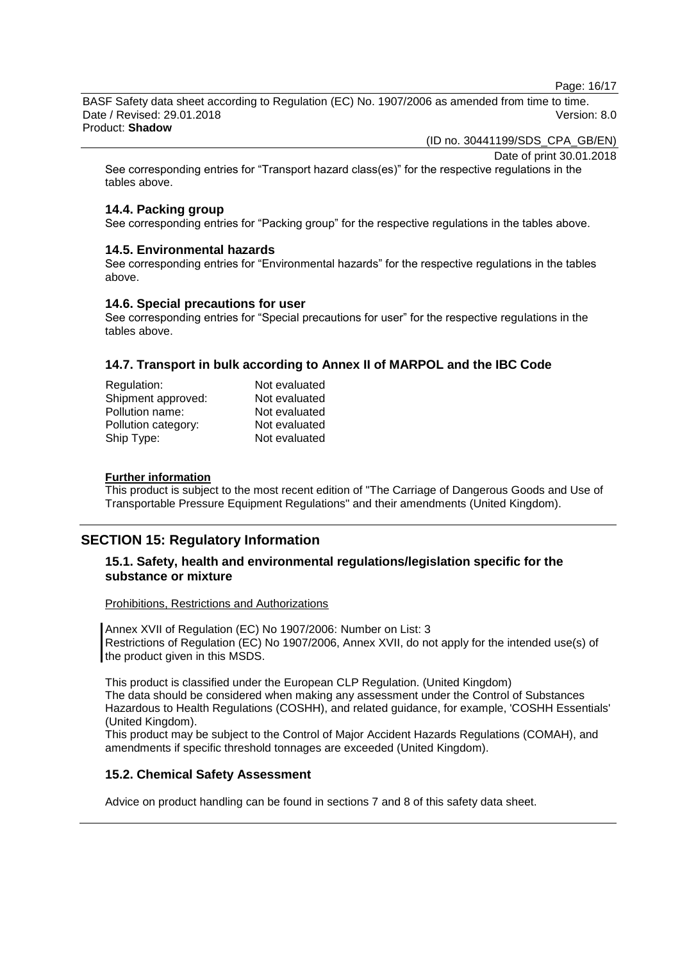Page: 16/17

BASF Safety data sheet according to Regulation (EC) No. 1907/2006 as amended from time to time. Date / Revised: 29.01.2018 Version: 8.0 Product: **Shadow**

(ID no. 30441199/SDS\_CPA\_GB/EN)

Date of print 30.01.2018

See corresponding entries for "Transport hazard class(es)" for the respective regulations in the tables above.

### **14.4. Packing group**

See corresponding entries for "Packing group" for the respective regulations in the tables above.

### **14.5. Environmental hazards**

See corresponding entries for "Environmental hazards" for the respective regulations in the tables above.

### **14.6. Special precautions for user**

See corresponding entries for "Special precautions for user" for the respective regulations in the tables above.

### **14.7. Transport in bulk according to Annex II of MARPOL and the IBC Code**

| Regulation:         | Not evaluated |
|---------------------|---------------|
| Shipment approved:  | Not evaluated |
| Pollution name:     | Not evaluated |
| Pollution category: | Not evaluated |
| Ship Type:          | Not evaluated |

#### **Further information**

This product is subject to the most recent edition of "The Carriage of Dangerous Goods and Use of Transportable Pressure Equipment Regulations" and their amendments (United Kingdom).

### **SECTION 15: Regulatory Information**

### **15.1. Safety, health and environmental regulations/legislation specific for the substance or mixture**

Prohibitions, Restrictions and Authorizations

Annex XVII of Regulation (EC) No 1907/2006: Number on List: 3 Restrictions of Regulation (EC) No 1907/2006, Annex XVII, do not apply for the intended use(s) of the product given in this MSDS.

This product is classified under the European CLP Regulation. (United Kingdom) The data should be considered when making any assessment under the Control of Substances Hazardous to Health Regulations (COSHH), and related guidance, for example, 'COSHH Essentials' (United Kingdom).

This product may be subject to the Control of Major Accident Hazards Regulations (COMAH), and amendments if specific threshold tonnages are exceeded (United Kingdom).

### **15.2. Chemical Safety Assessment**

Advice on product handling can be found in sections 7 and 8 of this safety data sheet.